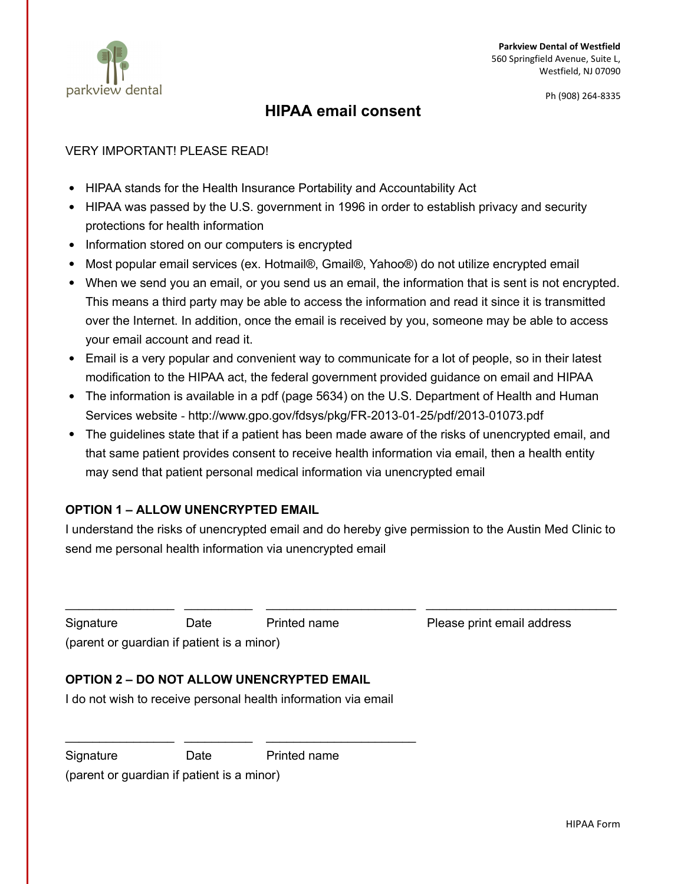

#### Ph (908) 264-8335

### HIPAA email consent

#### VERY IMPORTANT! PLEASE READ!

- HIPAA stands for the Health Insurance Portability and Accountability Act
- HIPAA was passed by the U.S. government in 1996 in order to establish privacy and security protections for health information
- Information stored on our computers is encrypted
- Most popular email services (ex. Hotmail®, Gmail®, Yahoo®) do not utilize encrypted email
- When we send you an email, or you send us an email, the information that is sent is not encrypted. This means a third party may be able to access the information and read it since it is transmitted over the Internet. In addition, once the email is received by you, someone may be able to access your email account and read it.
- Email is a very popular and convenient way to communicate for a lot of people, so in their latest modification to the HIPAA act, the federal government provided guidance on email and HIPAA
- The information is available in a pdf (page 5634) on the U.S. Department of Health and Human Services website ‐ http://www.gpo.gov/fdsys/pkg/FR‐2013‐01‐25/pdf/2013‐01073.pdf
- The guidelines state that if a patient has been made aware of the risks of unencrypted email, and that same patient provides consent to receive health information via email, then a health entity may send that patient personal medical information via unencrypted email

### OPTION 1 – ALLOW UNENCRYPTED EMAIL

I understand the risks of unencrypted email and do hereby give permission to the Austin Med Clinic to send me personal health information via unencrypted email

 $\_$  , and the set of the set of the set of the set of the set of the set of the set of the set of the set of the set of the set of the set of the set of the set of the set of the set of the set of the set of the set of th

Signature Date Printed name Please print email address

(parent or guardian if patient is a minor)

### OPTION 2 – DO NOT ALLOW UNENCRYPTED EMAIL

I do not wish to receive personal health information via email

Signature Date Printed name

(parent or guardian if patient is a minor)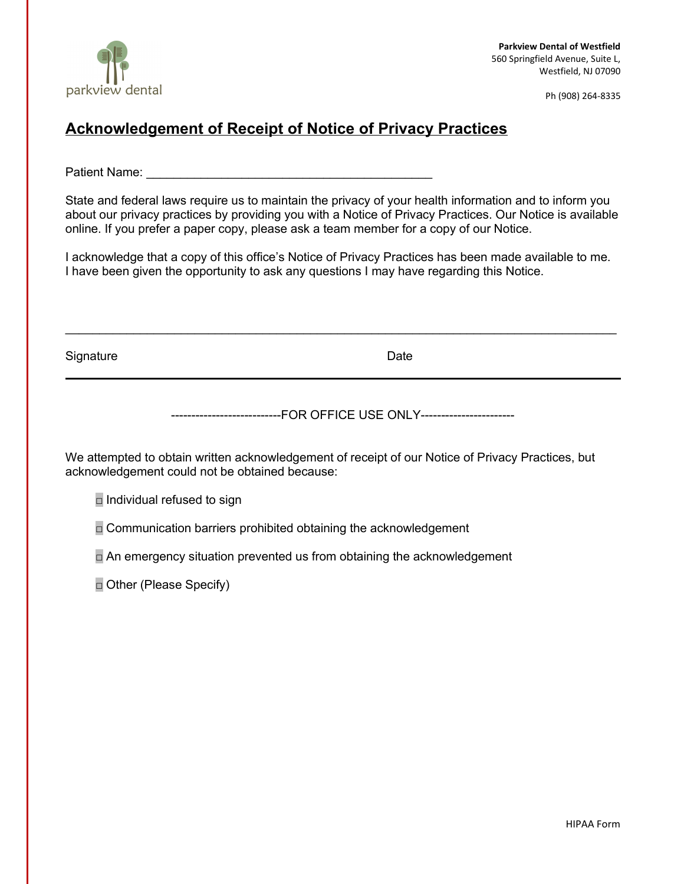

Ph (908) 264-8335

# Acknowledgement of Receipt of Notice of Privacy Practices

Patient Name: **Example 20** 

State and federal laws require us to maintain the privacy of your health information and to inform you about our privacy practices by providing you with a Notice of Privacy Practices. Our Notice is available online. If you prefer a paper copy, please ask a team member for a copy of our Notice.

I acknowledge that a copy of this office's Notice of Privacy Practices has been made available to me. I have been given the opportunity to ask any questions I may have regarding this Notice.

 $\mathcal{L}_\mathcal{L} = \mathcal{L}_\mathcal{L} = \mathcal{L}_\mathcal{L} = \mathcal{L}_\mathcal{L} = \mathcal{L}_\mathcal{L} = \mathcal{L}_\mathcal{L} = \mathcal{L}_\mathcal{L} = \mathcal{L}_\mathcal{L} = \mathcal{L}_\mathcal{L} = \mathcal{L}_\mathcal{L} = \mathcal{L}_\mathcal{L} = \mathcal{L}_\mathcal{L} = \mathcal{L}_\mathcal{L} = \mathcal{L}_\mathcal{L} = \mathcal{L}_\mathcal{L} = \mathcal{L}_\mathcal{L} = \mathcal{L}_\mathcal{L}$ 

Signature **Date** 

---------------------------FOR OFFICE USE ONLY-----------------------

We attempted to obtain written acknowledgement of receipt of our Notice of Privacy Practices, but acknowledgement could not be obtained because:

 $\Box$  Individual refused to sign

 $\Box$  Communication barriers prohibited obtaining the acknowledgement

 $\Box$  An emergency situation prevented us from obtaining the acknowledgement

□ Other (Please Specify)